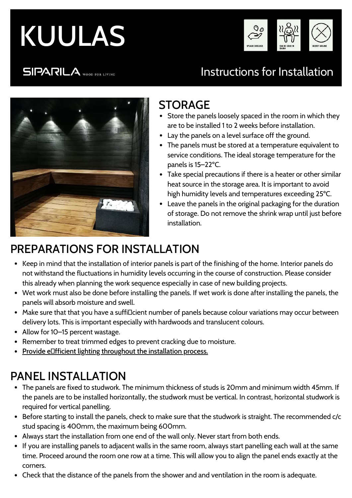# KUULAS



### **SIPARILA** WOOD FOR LIVING

# Instructions for Installation



# STORAGE

- Store the panels loosely spaced in the room in which they are to be installed 1 to 2 weeks before installation.
- Lay the panels on a level surface off the ground.
- The panels must be stored at a temperature equivalent to service conditions. The ideal storage temperature for the panels is 15–22ºC.
- Take special precautions if there is a heater or other similar heat source in the storage area. It is important to avoid high humidity levels and temperatures exceeding 25ºC.
- Leave the panels in the original packaging for the duration of storage. Do not remove the shrink wrap until just before installation.

# PREPARATIONS FOR INSTALLATION

- Keep in mind that the installation of interior panels is part of the finishing of the home. Interior panels do not withstand the fluctuations in humidity levels occurring in the course of construction. Please consider this already when planning the work sequence especially in case of new building projects.
- Wet work must also be done before installing the panels. If wet work is done after installing the panels, the panels will absorb moisture and swell.
- Make sure that that you have a suffi¤cient number of panels because colour variations may occur between delivery lots. This is important especially with hardwoods and translucent colours.
- Allow for 10–15 percent wastage.
- Remember to treat trimmed edges to prevent cracking due to moisture.
- Provide ellfficient lighting throughout the installation process.

# PANEL INSTALLATION

- The panels are fixed to studwork. The minimum thickness of studs is 20mm and minimum width 45mm. If the panels are to be installed horizontally, the studwork must be vertical. In contrast, horizontal studwork is required for vertical panelling.
- Before starting to install the panels, check to make sure that the studwork is straight. The recommended c/c stud spacing is 400mm, the maximum being 600mm.
- Always start the installation from one end of the wall only. Never start from both ends.
- If you are installing panels to adjacent walls in the same room, always start panelling each wall at the same time. Proceed around the room one row at a time. This will allow you to align the panel ends exactly at the corners.
- Check that the distance of the panels from the shower and and ventilation in the room is adequate.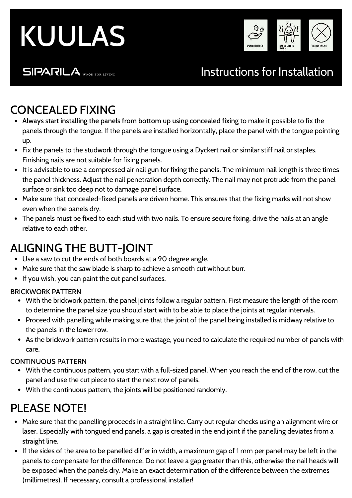



#### **SIPARILA** WOOD FOR LIVING

## Instructions for Installation

## CONCEALED FIXING

- Always start installing the panels from bottom up using concealed fixing to make it possible to fix the panels through the tongue. If the panels are installed horizontally, place the panel with the tongue pointing up.
- Fix the panels to the studwork through the tongue using a Dyckert nail or similar stiff nail or staples. Finishing nails are not suitable for fixing panels.
- It is advisable to use a compressed air nail gun for fixing the panels. The minimum nail length is three times the panel thickness. Adjust the nail penetration depth correctly. The nail may not protrude from the panel surface or sink too deep not to damage panel surface.
- Make sure that concealed-fixed panels are driven home. This ensures that the fixing marks will not show even when the panels dry.
- The panels must be fixed to each stud with two nails. To ensure secure fixing, drive the nails at an angle relative to each other.

#### ALIGNING THE BUTT-JOINT

- Use a saw to cut the ends of both boards at a 90 degree angle.
- Make sure that the saw blade is sharp to achieve a smooth cut without burr.
- If you wish, you can paint the cut panel surfaces.

#### BRICKWORK PATTERN

- With the brickwork pattern, the panel joints follow a regular pattern. First measure the length of the room to determine the panel size you should start with to be able to place the joints at regular intervals.
- Proceed with panelling while making sure that the joint of the panel being installed is midway relative to the panels in the lower row.
- As the brickwork pattern results in more wastage, you need to calculate the required number of panels with care.

#### CONTINUOUS PATTERN

- With the continuous pattern, you start with a full-sized panel. When you reach the end of the row, cut the panel and use the cut piece to start the next row of panels.
- With the continuous pattern, the joints will be positioned randomly.

## PLEASE NOTE!

- Make sure that the panelling proceeds in a straight line. Carry out regular checks using an alignment wire or laser. Especially with tongued end panels, a gap is created in the end joint if the panelling deviates from a straight line.
- If the sides of the area to be panelled differ in width, a maximum gap of 1 mm per panel may be left in the panels to compensate for the difference. Do not leave a gap greater than this, otherwise the nail heads will be exposed when the panels dry. Make an exact determination of the difference between the extremes (millimetres). If necessary, consult a professional installer!